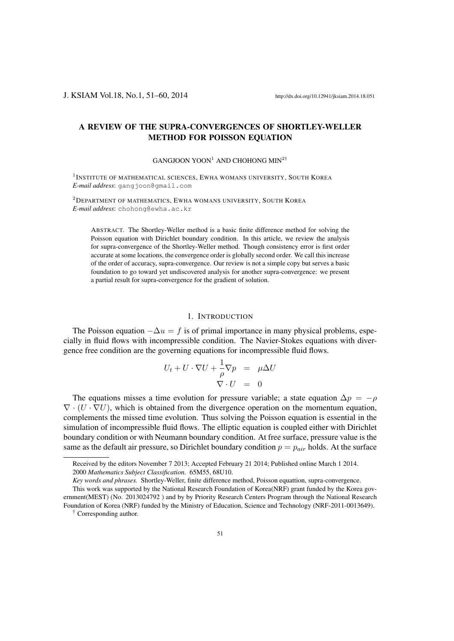# A REVIEW OF THE SUPRA-CONVERGENCES OF SHORTLEY-WELLER METHOD FOR POISSON EQUATION

#### GANGJOON YOON<sup>1</sup> AND CHOHONG MIN<sup>2</sup>*†*

<sup>1</sup>INSTITUTE OF MATHEMATICAL SCIENCES, EWHA WOMANS UNIVERSITY, SOUTH KOREA *E-mail address*: gangjoon@gmail.com

<sup>2</sup>DEPARTMENT OF MATHEMATICS, EWHA WOMANS UNIVERSITY, SOUTH KOREA *E-mail address*: chohong@ewha.ac.kr

ABSTRACT. The Shortley-Weller method is a basic finite difference method for solving the Poisson equation with Dirichlet boundary condition. In this article, we review the analysis for supra-convergence of the Shortley-Weller method. Though consistency error is first order accurate at some locations, the convergence order is globally second order. We call this increase of the order of accuracy, supra-convergence. Our review is not a simple copy but serves a basic foundation to go toward yet undiscovered analysis for another supra-convergence: we present a partial result for supra-convergence for the gradient of solution.

# 1. INTRODUCTION

The Poisson equation *−*∆*u* = *f* is of primal importance in many physical problems, especially in fluid flows with incompressible condition. The Navier-Stokes equations with divergence free condition are the governing equations for incompressible fluid flows.

$$
U_t + U \cdot \nabla U + \frac{1}{\rho} \nabla p = \mu \Delta U
$$
  

$$
\nabla \cdot U = 0
$$

The equations misses a time evolution for pressure variable; a state equation  $\Delta p = -\rho$ *∇ ·* (*U · ∇U*), which is obtained from the divergence operation on the momentum equation, complements the missed time evolution. Thus solving the Poisson equation is essential in the simulation of incompressible fluid flows. The elliptic equation is coupled either with Dirichlet boundary condition or with Neumann boundary condition. At free surface, pressure value is the same as the default air pressure, so Dirichlet boundary condition  $p = p_{air}$  holds. At the surface

Received by the editors November 7 2013; Accepted February 21 2014; Published online March 1 2014. 2000 *Mathematics Subject Classification.* 65M55, 68U10.

*Key words and phrases.* Shortley-Weller, finite difference method, Poisson equattion, supra-convergence.

This work was supported by the National Research Foundation of Korea(NRF) grant funded by the Korea government(MEST) (No. 2013024792 ) and by by Priority Research Centers Program through the National Research Foundation of Korea (NRF) funded by the Ministry of Education, Science and Technology (NRF-2011-0013649).

*<sup>†</sup>* Corresponding author.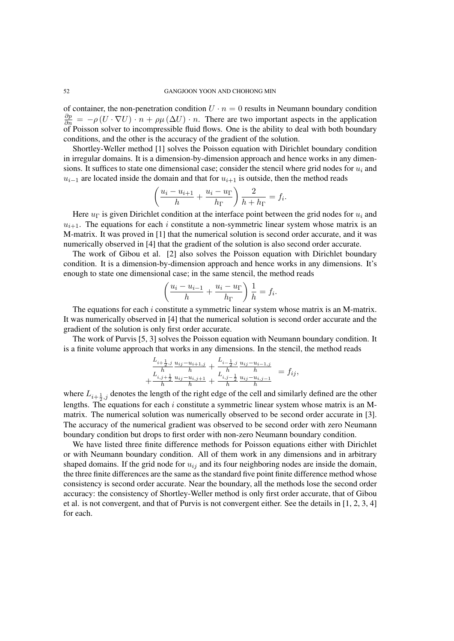of container, the non-penetration condition  $U \cdot n = 0$  results in Neumann boundary condition  $\frac{\partial p}{\partial n}$  = *−ρ* (*U* ·  $\nabla U$ ) *· n* + *ρµ* ( $\Delta U$ ) *· n*. There are two important aspects in the application of Poisson solver to incompressible fluid flows. One is the ability to deal with both boundary conditions, and the other is the accuracy of the gradient of the solution.

Shortley-Weller method [1] solves the Poisson equation with Dirichlet boundary condition in irregular domains. It is a dimension-by-dimension approach and hence works in any dimensions. It suffices to state one dimensional case; consider the stencil where grid nodes for  $u_i$  and  $u_{i-1}$  are located inside the domain and that for  $u_{i+1}$  is outside, then the method reads

$$
\left(\frac{u_i - u_{i+1}}{h} + \frac{u_i - u_{\Gamma}}{h_{\Gamma}}\right) \frac{2}{h + h_{\Gamma}} = f_i.
$$

Here  $u_{\Gamma}$  is given Dirichlet condition at the interface point between the grid nodes for  $u_i$  and  $u_{i+1}$ . The equations for each *i* constitute a non-symmetric linear system whose matrix is an M-matrix. It was proved in [1] that the numerical solution is second order accurate, and it was numerically observed in [4] that the gradient of the solution is also second order accurate.

The work of Gibou et al. [2] also solves the Poisson equation with Dirichlet boundary condition. It is a dimension-by-dimension approach and hence works in any dimensions. It's enough to state one dimensional case; in the same stencil, the method reads

$$
\left(\frac{u_i - u_{i-1}}{h} + \frac{u_i - u_{\Gamma}}{h_{\Gamma}}\right) \frac{1}{h} = f_i.
$$

The equations for each *i* constitute a symmetric linear system whose matrix is an M-matrix. It was numerically observed in [4] that the numerical solution is second order accurate and the gradient of the solution is only first order accurate.

The work of Purvis [5, 3] solves the Poisson equation with Neumann boundary condition. It is a finite volume approach that works in any dimensions. In the stencil, the method reads

$$
+\frac{\frac{L_{i+\frac{1}{2},j}}{h} u_{ij} - u_{i+1,j}}{h} + \frac{\frac{L_{i-\frac{1}{2},j}}{h} u_{ij} - u_{i-1,j}}{h} = f_{ij},
$$
  
+ 
$$
\frac{\frac{L_{i,j+\frac{1}{2}}}{h} u_{ij} - u_{i,j+1}}{h} + \frac{\frac{L_{i,j-\frac{1}{2}}}{h} u_{ij} - u_{i,j-1}}{h} = f_{ij},
$$

where  $L_{i+\frac{1}{2},j}$  denotes the length of the right edge of the cell and similarly defined are the other lengths. The equations for each *i* constitute a symmetric linear system whose matrix is an Mmatrix. The numerical solution was numerically observed to be second order accurate in [3]. The accuracy of the numerical gradient was observed to be second order with zero Neumann boundary condition but drops to first order with non-zero Neumann boundary condition.

We have listed three finite difference methods for Poisson equations either with Dirichlet or with Neumann boundary condition. All of them work in any dimensions and in arbitrary shaped domains. If the grid node for  $u_{ij}$  and its four neighboring nodes are inside the domain, the three finite differences are the same as the standard five point finite difference method whose consistency is second order accurate. Near the boundary, all the methods lose the second order accuracy: the consistency of Shortley-Weller method is only first order accurate, that of Gibou et al. is not convergent, and that of Purvis is not convergent either. See the details in [1, 2, 3, 4] for each.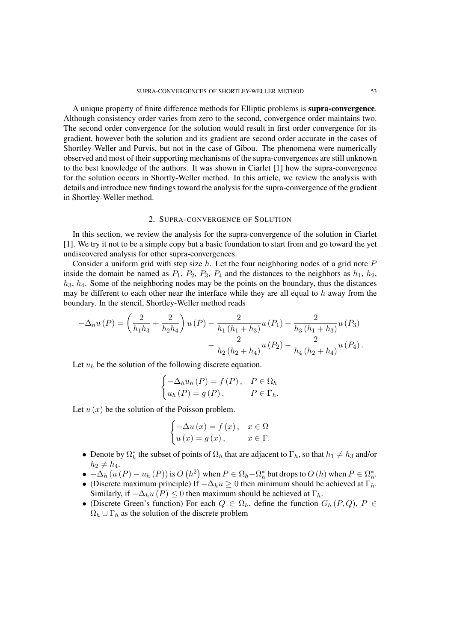A unique property of finite difference methods for Elliptic problems is supra-convergence. Although consistency order varies from zero to the second, convergence order maintains two. The second order convergence for the solution would result in first order convergence for its gradient, however both the solution and its gradient are second order accurate in the cases of Shortley-Weller and Purvis, but not in the case of Gibou. The phenomena were numerically observed and most of their supporting mechanisms of the supra-convergences are still unknown to the best knowledge of the authors. It was shown in Ciarlet [1] how the supra-convergence for the solution occurs in Shortly-Weller method. In this article, we review the analysis with details and introduce new findings toward the analysis for the supra-convergence of the gradient in Shortley-Weller method.

#### 2. SUPRA-CONVERGENCE OF SOLUTION

In this section, we review the analysis for the supra-convergence of the solution in Ciarlet [1]. We try it not to be a simple copy but a basic foundation to start from and go toward the yet undiscovered analysis for other supra-convergences.

Consider a uniform grid with step size *h*. Let the four neighboring nodes of a grid note *P* inside the domain be named as  $P_1$ ,  $P_2$ ,  $P_3$ ,  $P_4$  and the distances to the neighbors as  $h_1$ ,  $h_2$ , *h*3, *h*4. Some of the neighboring nodes may be the points on the boundary, thus the distances may be different to each other near the interface while they are all equal to *h* away from the boundary. In the stencil, Shortley-Weller method reads

$$
-\Delta_{h}u(P) = \left(\frac{2}{h_{1}h_{3}} + \frac{2}{h_{2}h_{4}}\right)u(P) - \frac{2}{h_{1}\left(h_{1} + h_{3}\right)}u(P_{1}) - \frac{2}{h_{3}\left(h_{1} + h_{3}\right)}u(P_{3}) - \frac{2}{h_{2}\left(h_{2} + h_{4}\right)}u(P_{2}) - \frac{2}{h_{4}\left(h_{2} + h_{4}\right)}u(P_{4}).
$$

Let  $u_h$  be the solution of the following discrete equation.

$$
\begin{cases}\n-\Delta_h u_h(P) = f(P), & P \in \Omega_h \\
u_h(P) = g(P), & P \in \Gamma_h.\n\end{cases}
$$

Let  $u(x)$  be the solution of the Poisson problem.

$$
\begin{cases}\n-\Delta u(x) = f(x), & x \in \Omega \\
u(x) = g(x), & x \in \Gamma.\n\end{cases}
$$

- Denote by  $\Omega_h^*$  the subset of points of  $\Omega_h$  that are adjacent to  $\Gamma_h$ , so that  $h_1 \neq h_3$  and/or  $h_2 \neq h_4$ .
- $\bullet$   $-\Delta_h (u(P) u_h(P))$  is  $O(h^2)$  when  $P \in \Omega_h \Omega_h^*$  but drops to  $O(h)$  when  $P \in \Omega_h^*$ .
- *•* (Discrete maximum principle) If *−*∆*hu ≥* 0 then minimum should be achieved at Γ*h*. Similarly, if  $-\Delta_h u(P) \leq 0$  then maximum should be achieved at  $\Gamma_h$ .
- (Discrete Green's function) For each  $Q \in \Omega_h$ , define the function  $G_h(P,Q)$ ,  $P \in$  $\Omega_h \cup \Gamma_h$  as the solution of the discrete problem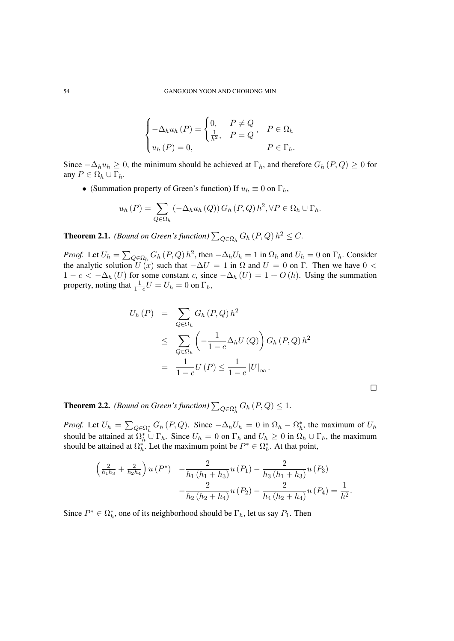$$
\begin{cases}\n-\Delta_h u_h(P) = \begin{cases}\n0, & P \neq Q \\
\frac{1}{h^2}, & P = Q\n\end{cases}, & P \in \Omega_h \\
u_h(P) = 0, & P \in \Gamma_h.\n\end{cases}
$$

Since  $-\Delta_h u_h$  ≥ 0, the minimum should be achieved at  $\Gamma_h$ , and therefore  $G_h(P,Q)$  ≥ 0 for any  $P \in \Omega_h \cup \Gamma_h$ .

• (Summation property of Green's function) If  $u_h \equiv 0$  on  $\Gamma_h$ ,

$$
u_h(P) = \sum_{Q \in \Omega_h} \left( -\Delta_h u_h(Q) \right) G_h(P,Q) h^2, \forall P \in \Omega_h \cup \Gamma_h.
$$

**Theorem 2.1.** *(Bound on Green's function)*  $\sum_{Q \in \Omega_h} G_h(P,Q) h^2 \leq C$ .

*Proof.* Let  $U_h = \sum_{Q \in \Omega_h} G_h(P,Q) h^2$ , then  $-\Delta_h U_h = 1$  in  $\Omega_h$  and  $U_h = 0$  on  $\Gamma_h$ . Consider the analytic solution  $U(x)$  such that  $-\Delta U = 1$  in  $\Omega$  and  $U = 0$  on  $\Gamma$ . Then we have  $0 < \Gamma$ 1 −  $c < -\Delta_h(U)$  for some constant *c*, since  $-\Delta_h(U) = 1 + O(h)$ . Using the summation property, noting that  $\frac{1}{1-c}U = U_h = 0$  on  $\Gamma_h$ ,

$$
U_h(P) = \sum_{Q \in \Omega_h} G_h(P,Q) h^2
$$
  
\n
$$
\leq \sum_{Q \in \Omega_h} \left( -\frac{1}{1-c} \Delta_h U(Q) \right) G_h(P,Q) h^2
$$
  
\n
$$
= \frac{1}{1-c} U(P) \leq \frac{1}{1-c} |U|_{\infty}.
$$

 $\Box$ 

**Theorem 2.2.** *(Bound on Green's function)*  $\sum_{Q \in \Omega_h^*} G_h(P,Q) \leq 1$ *.* 

*Proof.* Let  $U_h = \sum_{Q \in \Omega_h^*} G_h(P,Q)$ . Since  $-\Delta_h U_h = 0$  in  $\Omega_h - \Omega_h^*$ , the maximum of  $U_h$ should be attained at  $\Omega_h^* \cup \Gamma_h$ . Since  $U_h = 0$  on  $\Gamma_h$  and  $U_h \ge 0$  in  $\Omega_h \cup \Gamma_h$ , the maximum should be attained at  $\Omega_h^*$ . Let the maximum point be  $P^* \in \Omega_h^*$ . At that point,

$$
\left(\frac{2}{h_1h_3} + \frac{2}{h_2h_4}\right)u(P^*) - \frac{2}{h_1(h_1 + h_3)}u(P_1) - \frac{2}{h_3(h_1 + h_3)}u(P_3) - \frac{2}{h_2(h_2 + h_4)}u(P_2) - \frac{2}{h_4(h_2 + h_4)}u(P_4) = \frac{1}{h^2}.
$$

Since  $P^* \in \Omega_h^*$ , one of its neighborhood should be  $\Gamma_h$ , let us say  $P_1$ . Then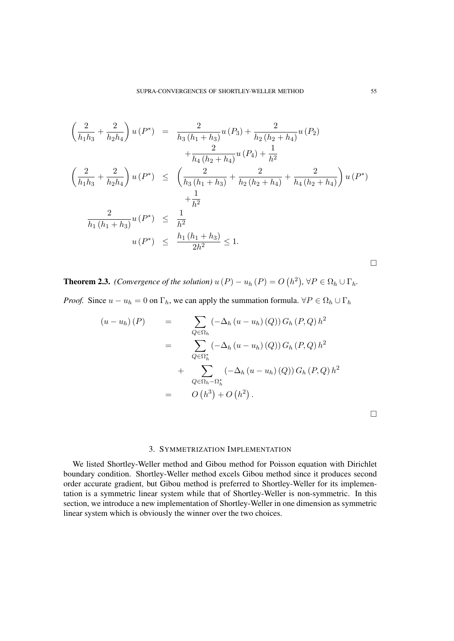$$
\left(\frac{2}{h_1h_3} + \frac{2}{h_2h_4}\right)u(P^*) = \frac{2}{h_3(h_1 + h_3)}u(P_3) + \frac{2}{h_2(h_2 + h_4)}u(P_2) \n+ \frac{2}{h_4(h_2 + h_4)}u(P_4) + \frac{1}{h^2} \n\left(\frac{2}{h_1h_3} + \frac{2}{h_2h_4}\right)u(P^*) \le \left(\frac{2}{h_3(h_1 + h_3)} + \frac{2}{h_2(h_2 + h_4)} + \frac{2}{h_4(h_2 + h_4)}\right)u(P^*) \n+ \frac{1}{h^2} \n\frac{2}{h_1(h_1 + h_3)}u(P^*) \le \frac{1}{h^2} \nu(P^*) \le \frac{h_1(h_1 + h_3)}{2h^2} \le 1.
$$

**Theorem 2.3.** *(Convergence of the solution)*  $u(P) - u_h(P) = O(h^2)$ ,  $\forall P \in \Omega_h \cup \Gamma_h$ .

*Proof.* Since  $u - u_h = 0$  on  $\Gamma_h$ , we can apply the summation formula.  $\forall P \in \Omega_h \cup \Gamma_h$ 

$$
(u - u_h)(P) = \sum_{Q \in \Omega_h} (-\Delta_h (u - u_h)(Q)) G_h (P, Q) h^2
$$
  
= 
$$
\sum_{Q \in \Omega_h^*} (-\Delta_h (u - u_h)(Q)) G_h (P, Q) h^2
$$
  
+ 
$$
\sum_{Q \in \Omega_h - \Omega_h^*} (-\Delta_h (u - u_h)(Q)) G_h (P, Q) h^2
$$
  
= 
$$
O(h^3) + O(h^2).
$$

 $\Box$ 

# 3. SYMMETRIZATION IMPLEMENTATION

We listed Shortley-Weller method and Gibou method for Poisson equation with Dirichlet boundary condition. Shortley-Weller method excels Gibou method since it produces second order accurate gradient, but Gibou method is preferred to Shortley-Weller for its implementation is a symmetric linear system while that of Shortley-Weller is non-symmetric. In this section, we introduce a new implementation of Shortley-Weller in one dimension as symmetric linear system which is obviously the winner over the two choices.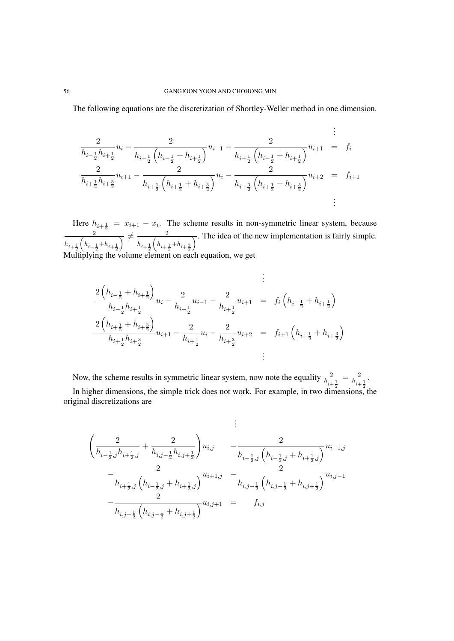The following equations are the discretization of Shortley-Weller method in one dimension.

$$
\frac{2}{h_{i-\frac{1}{2}}h_{i+\frac{1}{2}}}u_{i} - \frac{2}{h_{i-\frac{1}{2}}\left(h_{i-\frac{1}{2}} + h_{i+\frac{1}{2}}\right)}u_{i-1} - \frac{2}{h_{i+\frac{1}{2}}\left(h_{i-\frac{1}{2}} + h_{i+\frac{1}{2}}\right)}u_{i+1} = f_{i}
$$
\n
$$
\frac{2}{h_{i+\frac{1}{2}}h_{i+\frac{3}{2}}}u_{i+1} - \frac{2}{h_{i+\frac{1}{2}}\left(h_{i+\frac{1}{2}} + h_{i+\frac{3}{2}}\right)}u_{i} - \frac{2}{h_{i+\frac{3}{2}}\left(h_{i+\frac{1}{2}} + h_{i+\frac{3}{2}}\right)}u_{i+2} = f_{i+1}
$$
\n
$$
\vdots
$$

Here  $h_{i+\frac{1}{2}} = x_{i+1} - x_i$ . The scheme results in non-symmetric linear system, because 2  $h_{i+\frac{1}{2}}$  $\overline{\left(h_{i-\frac{1}{2}}\!+\!h_{i+\frac{1}{2}}\right)}$  $\overline{\phantom{a}}$   $\overline{\phantom{a}}$   $\overline{\phantom{a}}$   $\overline{\phantom{a}}$   $\overline{\phantom{a}}$   $\overline{\phantom{a}}$   $\overline{\phantom{a}}$   $\overline{\phantom{a}}$   $\overline{\phantom{a}}$   $\overline{\phantom{a}}$   $\overline{\phantom{a}}$   $\overline{\phantom{a}}$   $\overline{\phantom{a}}$   $\overline{\phantom{a}}$   $\overline{\phantom{a}}$   $\overline{\phantom{a}}$   $\overline{\phantom{a}}$   $\overline{\phantom{a}}$   $\overline{\$  $h_{i+\frac{1}{2}}$  $\overline{\left(h_{i+\frac{1}{2}}\!+\!h_{i+\frac{3}{2}}\right)}$  $\overline{\phantom{a}}$ . The idea of the new implementation is fairly simple. Multiplying the volume element on each equation, we get

$$
\begin{aligned}\n&\frac{2\left(h_{i-\frac{1}{2}}+h_{i+\frac{1}{2}}\right)}{h_{i-\frac{1}{2}}h_{i+\frac{1}{2}}}u_i-\frac{2}{h_{i-\frac{1}{2}}}u_{i-1}-\frac{2}{h_{i+\frac{1}{2}}}u_{i+1} &= f_i\left(h_{i-\frac{1}{2}}+h_{i+\frac{1}{2}}\right) \\
&\frac{2\left(h_{i+\frac{1}{2}}+h_{i+\frac{3}{2}}\right)}{h_{i+\frac{1}{2}}h_{i+\frac{3}{2}}}u_{i+1}-\frac{2}{h_{i+\frac{1}{2}}}u_i-\frac{2}{h_{i+\frac{3}{2}}}u_{i+2} &= f_{i+1}\left(h_{i+\frac{1}{2}}+h_{i+\frac{3}{2}}\right) \\
&\vdots\n\end{aligned}
$$

Now, the scheme results in symmetric linear system, now note the equality  $\frac{2}{h_{i+\frac{1}{2}}}$  $=\frac{2}{h}$  $h_{i+\frac{1}{2}}$ .

In higher dimensions, the simple trick does not work. For example, in two dimensions, the original discretizations are

$$
\begin{aligned}\n&\vdots\\ \n&\left(\frac{2}{h_{i-\frac{1}{2},j}h_{i+\frac{1}{2},j}}+\frac{2}{h_{i,j-\frac{1}{2}}h_{i,j+\frac{1}{2}}}\right)u_{i,j} &\quad-\frac{2}{h_{i-\frac{1}{2},j}\left(h_{i-\frac{1}{2},j}+h_{i+\frac{1}{2},j}\right)}u_{i-1,j}\\
&\quad-\frac{2}{h_{i+\frac{1}{2},j}\left(h_{i-\frac{1}{2},j}+h_{i+\frac{1}{2},j}\right)}u_{i+1,j} &\quad-\frac{2}{h_{i,j-\frac{1}{2}}\left(h_{i,j-\frac{1}{2}}+h_{i,j+\frac{1}{2}}\right)}u_{i,j-1}\\
&\quad-\frac{2}{h_{i,j+\frac{1}{2}}\left(h_{i,j-\frac{1}{2}}+h_{i,j+\frac{1}{2}}\right)}u_{i,j+1} &\quad=\quad f_{i,j}\n\end{aligned}
$$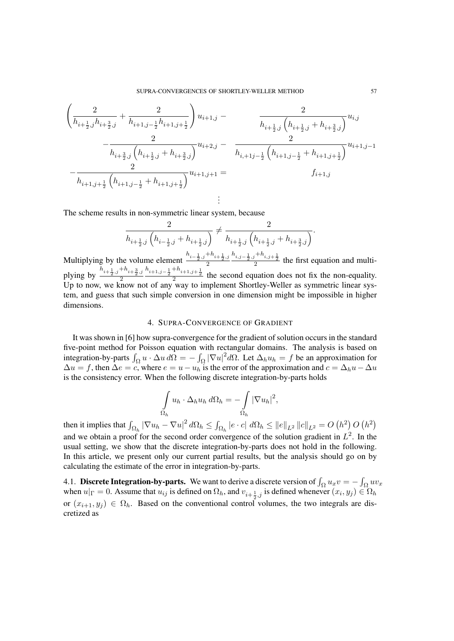$$
\left(\frac{2}{h_{i+\frac{1}{2},j}h_{i+\frac{3}{2},j}} + \frac{2}{h_{i+1,j-\frac{1}{2}}h_{i+1,j+\frac{1}{2}}}\right)u_{i+1,j} - \frac{2}{h_{i+\frac{1}{2},j}\left(h_{i+\frac{1}{2},j} + h_{i+\frac{3}{2},j}\right)}u_{i,j} - \frac{2}{h_{i+\frac{3}{2},j}\left(h_{i+\frac{1}{2},j} + h_{i+\frac{3}{2},j}\right)}u_{i+2,j} - \frac{2}{h_{i+1,j-\frac{1}{2}}\left(h_{i+1,j-\frac{1}{2}} + h_{i+1,j+\frac{1}{2}}\right)}u_{i+1,j-1} = f_{i+1,j}
$$
\n
$$
-\frac{2}{h_{i+1,j+\frac{1}{2}}\left(h_{i+1,j-\frac{1}{2}} + h_{i+1,j+\frac{1}{2}}\right)}u_{i+1,j+\frac{1}{2}}\left(h_{i+1,j-\frac{1}{2}} + h_{i+1,j+\frac{1}{2}}\right)u_{i+1,j+1} = f_{i+1,j}
$$

The scheme results in non-symmetric linear system, because

$$
\frac{2}{h_{i+\frac{1}{2},j}\left(h_{i-\frac{1}{2},j}+h_{i+\frac{1}{2},j}\right)} \neq \frac{2}{h_{i+\frac{1}{2},j}\left(h_{i+\frac{1}{2},j}+h_{i+\frac{3}{2},j}\right)}.
$$

.

Multiplying by the volume element  $\frac{h_{i-\frac{1}{2},j}+h_{i+\frac{1}{2},j}}{2}$ 2  $\frac{h_{i,j-\frac{1}{2},j}+h_{i,j+\frac{1}{2}}}{2}$  the first equation and multiplying by  $\frac{h_{i+\frac{1}{2},j}+h_{i+\frac{3}{2},j}}{2}$ 2  $\frac{h_{i+1,j-\frac{1}{2}}+h_{i+1,j+\frac{1}{2}}}{2}$  the second equation does not fix the non-equality. Up to now, we know not of any way to implement Shortley-Weller as symmetric linear system, and guess that such simple conversion in one dimension might be impossible in higher dimensions.

# 4. SUPRA-CONVERGENCE OF GRADIENT

It was shown in [6] how supra-convergence for the gradient of solution occurs in the standard five-point method for Poisson equation with rectangular domains. The analysis is based on integration-by-parts  $\int_{\Omega} u \cdot \Delta u \, d\Omega = - \int_{\Omega} |\nabla u|^2 d\Omega$ . Let  $\Delta_h u_h = f$  be an approximation for  $\Delta u = f$ , then  $\Delta e = c$ , where  $e = u - u_h$  is the error of the approximation and  $c = \Delta_h u - \Delta u$ is the consistency error. When the following discrete integration-by-parts holds

$$
\int_{\Omega_h} u_h \cdot \Delta_h u_h \, d\Omega_h = -\int_{\Omega_h} |\nabla u_h|^2,
$$

then it implies that  $\int_{\Omega_h}|\nabla u_h-\nabla u|^2\,d\Omega_h\leq \int_{\Omega_h}|e\cdot c|\,\,d\Omega_h\leq \|e\|_{L^2}\,\|c\|_{L^2}=O\left(h^2\right)O\left(h^2\right)$ and we obtain a proof for the second order convergence of the solution gradient in  $L^2$ . In the usual setting, we show that the discrete integration-by-parts does not hold in the following. In this article, we present only our current partial results, but the analysis should go on by calculating the estimate of the error in integration-by-parts.

4.1. **Discrete Integration-by-parts.** We want to derive a discrete version of  $\int_{\Omega} u_x v = -\int_{\Omega} u v_x$ when  $u|_{\Gamma} = 0$ . Assume that  $u_{ij}$  is defined on  $\Omega_h$ , and  $v_{i+\frac{1}{2},j}$  is defined whenever  $(x_i, y_j) \in \Omega_h$ or  $(x_{i+1}, y_i) \in \Omega_h$ . Based on the conventional control volumes, the two integrals are discretized as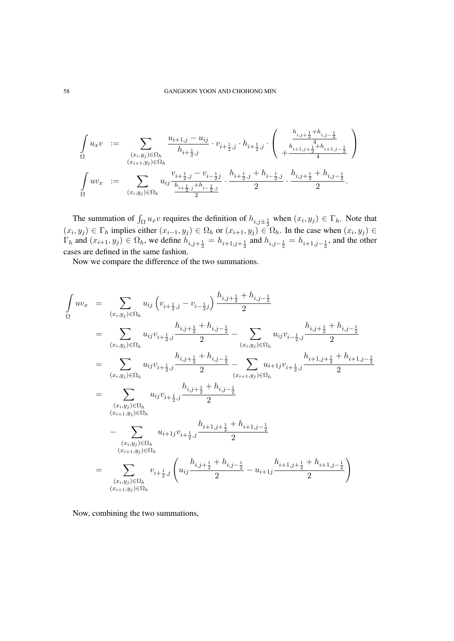$$
\int_{\Omega} u_x v = \sum_{\substack{(x_i, y_j) \in \Omega_h \\ (x_{i+1}, y_j) \in \Omega_h}} \frac{u_{i+1,j} - u_{ij}}{h_{i+\frac{1}{2},j}} \cdot v_{i+\frac{1}{2},j} \cdot h_{i+\frac{1}{2},j} \cdot \left( \begin{array}{c} \frac{h_{i,j+\frac{1}{2}} + h_{i,j-\frac{1}{2}}}{4} \\ + \frac{h_{i+1,j+\frac{1}{2}} + h_{i+1,j-\frac{1}{2}}}{4} \end{array} \right)
$$
\n
$$
\int_{\Omega} uv_x := \sum_{(x_i, y_j) \in \Omega_h} u_{ij} \frac{v_{i+\frac{1}{2},j} - v_{i-\frac{1}{2},j}}{h_{i+\frac{1}{2},j} + h_{i-\frac{1}{2},j}} \cdot \frac{h_{i+\frac{1}{2},j} + h_{i-\frac{1}{2},j}}{2} \cdot \frac{h_{i,j+\frac{1}{2}} + h_{i,j-\frac{1}{2}}}{2}.
$$

The summation of  $\int_{\Omega} u_x v$  requires the definition of  $h_{i,j\pm\frac{1}{2}}$  when  $(x_i, y_j) \in \Gamma_h$ . Note that  $(x_i, y_j) \in \Gamma_h$  implies either  $(x_{i-1}, y_j) \in \Omega_h$  or  $(x_{i+1}, y_j) \in \Omega_h$ . In the case when  $(x_i, y_j) \in$  $\Gamma_h$  and  $(x_{i+1}, y_j) \in \Omega_h$ , we define  $h_{i,j+\frac{1}{2}} = h_{i+1,j+\frac{1}{2}}$  and  $h_{i,j-\frac{1}{2}} = h_{i+1,j-\frac{1}{2}}$ , and the other cases are defined in the same fashion.

Now we compare the difference of the two summations.

$$
\int_{\Omega} uv_x = \sum_{(x_i, y_j) \in \Omega_h} u_{ij} \left( v_{i + \frac{1}{2}, j} - v_{i - \frac{1}{2}j} \right) \frac{h_{i, j + \frac{1}{2}} + h_{i, j - \frac{1}{2}}}{2}
$$
\n
$$
= \sum_{(x_i, y_j) \in \Omega_h} u_{ij} v_{i + \frac{1}{2}, j} \frac{h_{i, j + \frac{1}{2}} + h_{i, j - \frac{1}{2}}}{2} - \sum_{(x_i, y_j) \in \Omega_h} u_{ij} v_{i - \frac{1}{2}, j} \frac{h_{i, j + \frac{1}{2}} + h_{i, j - \frac{1}{2}}}{2}
$$
\n
$$
= \sum_{(x_i, y_j) \in \Omega_h} u_{ij} v_{i + \frac{1}{2}, j} \frac{h_{i, j + \frac{1}{2}} + h_{i, j - \frac{1}{2}}}{2} - \sum_{(x_{i + 1}, y_j) \in \Omega_h} u_{i + 1, j + \frac{1}{2}, j} \frac{h_{i + 1, j + \frac{1}{2}} + h_{i + 1, j - \frac{1}{2}}}{2}
$$
\n
$$
= \sum_{(x_i, y_j) \in \Omega_h} u_{ij} v_{i + \frac{1}{2}, j} \frac{h_{i, j + \frac{1}{2}} + h_{i, j - \frac{1}{2}}}{2}
$$
\n
$$
- \sum_{(x_i, y_j) \in \Omega_h} u_{i + 1, j} v_{i + \frac{1}{2}, j} \frac{h_{i + 1, j + \frac{1}{2}} + h_{i + 1, j - \frac{1}{2}}}{2}
$$
\n
$$
= \sum_{(x_i, y_j) \in \Omega_h} v_{i + \frac{1}{2}, j} \left( u_{ij} \frac{h_{i, j + \frac{1}{2}} + h_{i, j - \frac{1}{2}}}{2} - u_{i + 1, j} \frac{h_{i + 1, j + \frac{1}{2}} + h_{i + 1, j - \frac{1}{2}}}{2} \right)
$$

Now, combining the two summations,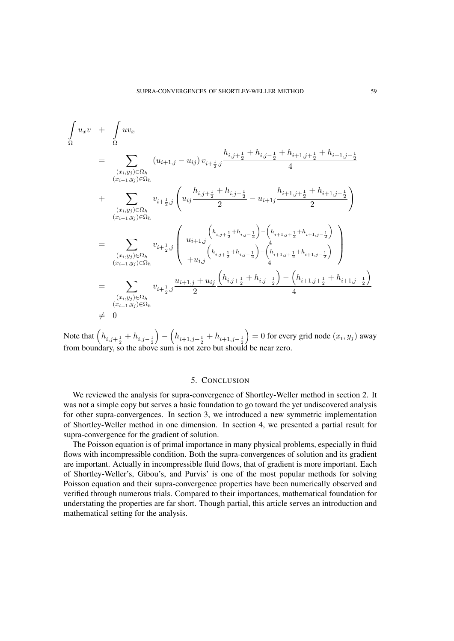$$
\int_{\Omega} u_x v + \int_{\Omega} u v_x
$$
\n
$$
= \sum_{\substack{(x_i, y_j) \in \Omega_h \\ (x_{i+1}, y_j) \in \Omega_h}} (u_{i+1,j} - u_{ij}) v_{i+\frac{1}{2},j} \frac{h_{i,j+\frac{1}{2}} + h_{i,j-\frac{1}{2}} + h_{i+1,j+\frac{1}{2}} + h_{i+1,j-\frac{1}{2}}}{4}
$$
\n
$$
+ \sum_{\substack{(x_i, y_j) \in \Omega_h \\ (x_{i+1}, y_j) \in \Omega_h}} v_{i+\frac{1}{2},j} \left( u_{ij} \frac{h_{i,j+\frac{1}{2}} + h_{i,j-\frac{1}{2}}}{2} - u_{i+1j} \frac{h_{i+1,j+\frac{1}{2}} + h_{i+1,j-\frac{1}{2}}}{2} \right)
$$
\n
$$
= \sum_{\substack{(x_i, y_j) \in \Omega_h \\ (x_{i+1}, y_j) \in \Omega_h}} v_{i+\frac{1}{2},j} \left( u_{i+1,j} \frac{h_{i,j+\frac{1}{2}} + h_{i,j-\frac{1}{2}} - h_{i+1,j+\frac{1}{2}} + h_{i+1,j-\frac{1}{2}}}{4} \right)
$$
\n
$$
= \sum_{\substack{(x_i, y_j) \in \Omega_h \\ (x_{i+1}, y_j) \in \Omega_h}} v_{i+\frac{1}{2},j} \frac{u_{i+1,j} + u_{ij} \left( h_{i,j+\frac{1}{2}} + h_{i,j-\frac{1}{2}} \right) - \left( h_{i+1,j+\frac{1}{2}} + h_{i+1,j-\frac{1}{2}} \right)}{4}
$$
\n
$$
+ 0
$$

Note that  $(h_{i,j+\frac{1}{2}} + h_{i,j-\frac{1}{2}})$  $\left( h_{i+1,j+\frac{1}{2}} + h_{i+1,j-\frac{1}{2}} \right)$  $= 0$  for every grid node  $(x_i, y_j)$  away from boundary, so the above sum is not zero but should be near zero.

# 5. CONCLUSION

We reviewed the analysis for supra-convergence of Shortley-Weller method in section 2. It was not a simple copy but serves a basic foundation to go toward the yet undiscovered analysis for other supra-convergences. In section 3, we introduced a new symmetric implementation of Shortley-Weller method in one dimension. In section 4, we presented a partial result for supra-convergence for the gradient of solution.

The Poisson equation is of primal importance in many physical problems, especially in fluid flows with incompressible condition. Both the supra-convergences of solution and its gradient are important. Actually in incompressible fluid flows, that of gradient is more important. Each of Shortley-Weller's, Gibou's, and Purvis' is one of the most popular methods for solving Poisson equation and their supra-convergence properties have been numerically observed and verified through numerous trials. Compared to their importances, mathematical foundation for understating the properties are far short. Though partial, this article serves an introduction and mathematical setting for the analysis.